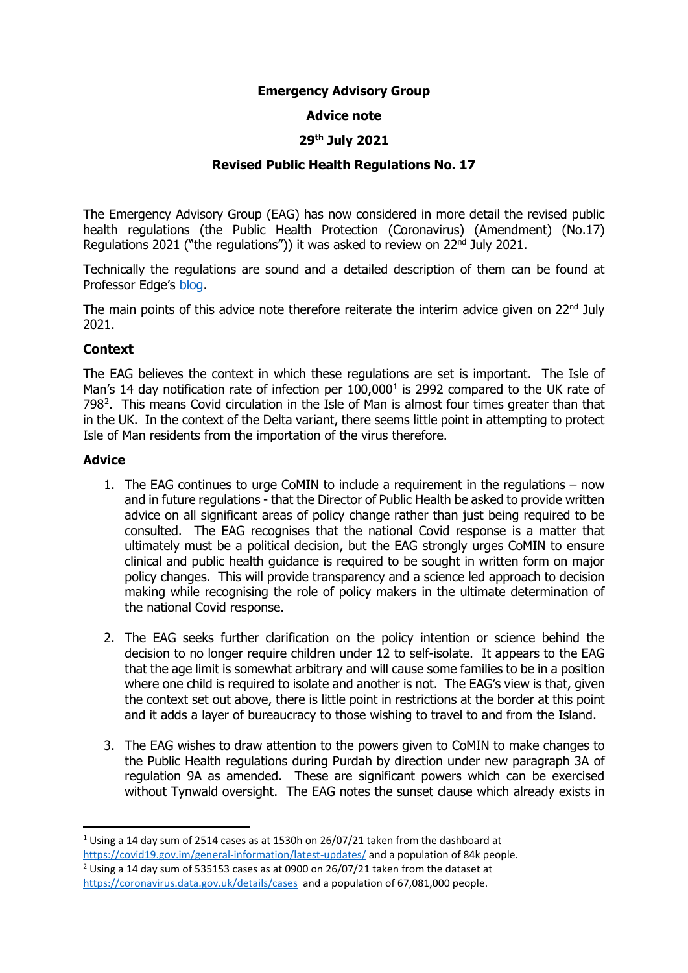## **Emergency Advisory Group**

## **Advice note**

## **29th July 2021**

## **Revised Public Health Regulations No. 17**

The Emergency Advisory Group (EAG) has now considered in more detail the revised public health regulations (the Public Health Protection (Coronavirus) (Amendment) (No.17) Regulations 2021 ("the regulations")) it was asked to review on 22<sup>nd</sup> July 2021.

Technically the regulations are sound and a detailed description of them can be found at Professor Edge's [blog.](https://edgelawblog.wordpress.com/)

The main points of this advice note therefore reiterate the interim advice given on  $22<sup>nd</sup>$  July 2021.

#### **Context**

The EAG believes the context in which these regulations are set is important. The Isle of Man's [1](#page-0-0)4 day notification rate of infection per  $100,000<sup>1</sup>$  is 2992 compared to the UK rate of 798<sup>2</sup>. This means Covid circulation in the Isle of Man is almost four times greater than that in the UK. In the context of the Delta variant, there seems little point in attempting to protect Isle of Man residents from the importation of the virus therefore.

#### **Advice**

- 1. The EAG continues to urge CoMIN to include a requirement in the regulations now and in future regulations - that the Director of Public Health be asked to provide written advice on all significant areas of policy change rather than just being required to be consulted. The EAG recognises that the national Covid response is a matter that ultimately must be a political decision, but the EAG strongly urges CoMIN to ensure clinical and public health guidance is required to be sought in written form on major policy changes. This will provide transparency and a science led approach to decision making while recognising the role of policy makers in the ultimate determination of the national Covid response.
- 2. The EAG seeks further clarification on the policy intention or science behind the decision to no longer require children under 12 to self-isolate. It appears to the EAG that the age limit is somewhat arbitrary and will cause some families to be in a position where one child is required to isolate and another is not. The EAG's view is that, given the context set out above, there is little point in restrictions at the border at this point and it adds a layer of bureaucracy to those wishing to travel to and from the Island.
- 3. The EAG wishes to draw attention to the powers given to CoMIN to make changes to the Public Health regulations during Purdah by direction under new paragraph 3A of regulation 9A as amended. These are significant powers which can be exercised without Tynwald oversight. The EAG notes the sunset clause which already exists in

<span id="page-0-1"></span><span id="page-0-0"></span> <sup>1</sup> Using a 14 day sum of 2514 cases as at 1530h on 26/07/21 taken from the dashboard at https://covid19.gov.im/general-information/latest-updates/ and a population of 84k people.<br><sup>2</sup> Using a 14 day sum of 535153 cases as at 0900 on 26/07/21 taken from the dataset at <https://coronavirus.data.gov.uk/details/cases> and a population of 67,081,000 people.